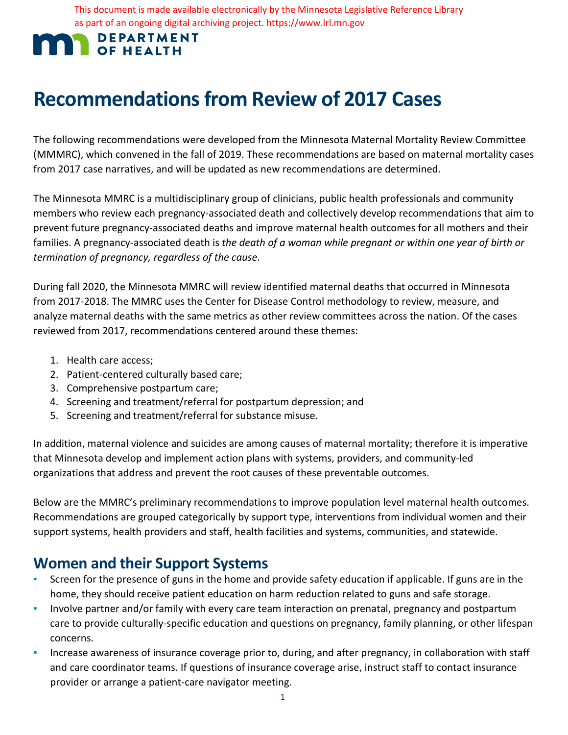This document is made available electronically by the Minnesota Legislative Reference Library as part of an ongoing digital archiving project. https://www.lrl.mn.gov

# **MAN** DEPARTMEN **DEPARTMENT**

# **Recommendations from Review of 2017 Cases**

The following recommendations were developed from the Minnesota Maternal Mortality Review Committee (MMMRC), which convened in the fall of 2019. These recommendations are based on maternal mortality cases from 2017 case narratives, and will be updated as new recommendations are determined.

 The Minnesota MMRC is a multidisciplinary group of clinicians, public health professionals and community members who review each pregnancy-associated death and collectively develop recommendations that aim to prevent future pregnancy-associated deaths and improve maternal health outcomes for all mothers and their families. A pregnancy-associated death is *the death of a woman while pregnant or within one year of birth or termination of pregnancy, regardless of the cause*.

 During fall 2020, the Minnesota MMRC will review identified maternal deaths that occurred in Minnesota from 2017-2018. The MMRC uses the Center for Disease Control methodology to review, measure, and reviewed from 2017, recommendations centered around these themes: analyze maternal deaths with the same metrics as other review committees across the nation. Of the cases

- 1. Health care access;
- 2. Patient-centered culturally based care;
- 3. Comprehensive postpartum care;
- 4. Screening and treatment/referral for postpartum depression; and
- 5. Screening and treatment/referral for substance misuse.

 In addition, maternal violence and suicides are among causes of maternal mortality; therefore it is imperative that Minnesota develop and implement action plans with systems, providers, and community-led organizations that address and prevent the root causes of these preventable outcomes.

 Recommendations are grouped categorically by support type, interventions from individual women and their Below are the MMRC's preliminary recommendations to improve population level maternal health outcomes. support systems, health providers and staff, health facilities and systems, communities, and statewide.

# **Women and their Support Systems**

- **EXPLES** Screen for the presence of guns in the home and provide safety education if applicable. If guns are in the home, they should receive patient education on harm reduction related to guns and safe storage.
- **·** Involve partner and/or family with every care team interaction on prenatal, pregnancy and postpartum care to provide culturally-specific education and questions on pregnancy, family planning, or other lifespan concerns.
- and care coordinator teams. If questions of insurance coverage arise, instruct staff to contact insurance ▪ Increase awareness of insurance coverage prior to, during, and after pregnancy, in collaboration with staff provider or arrange a patient-care navigator meeting.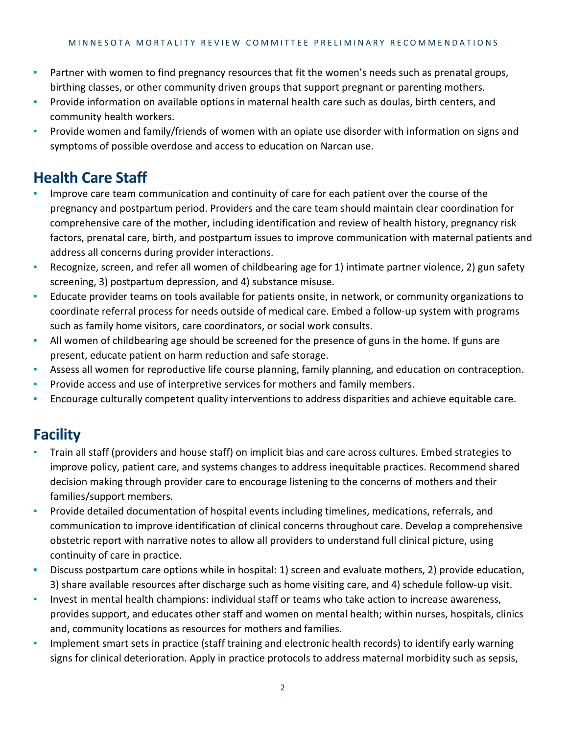- **•** Partner with women to find pregnancy resources that fit the women's needs such as prenatal groups, birthing classes, or other community driven groups that support pregnant or parenting mothers.
- **·** Provide information on available options in maternal health care such as doulas, birth centers, and community health workers.
- symptoms of possible overdose and access to education on Narcan use. **•** Provide women and family/friends of women with an opiate use disorder with information on signs and

# **Health Care Staff**

- comprehensive care of the mother, including identification and review of health history, pregnancy risk factors, prenatal care, birth, and postpartum issues to improve communication with maternal patients and Improve care team communication and continuity of care for each patient over the course of the pregnancy and postpartum period. Providers and the care team should maintain clear coordination for address all concerns during provider interactions.
- Recognize, screen, and refer all women of childbearing age for 1) intimate partner violence, 2) gun safety screening, 3) postpartum depression, and 4) substance misuse.
- ▪ Educate provider teams on tools available for patients onsite, in network, or community organizations to coordinate referral process for needs outside of medical care. Embed a follow-up system with programs such as family home visitors, care coordinators, or social work consults.
- **EXECT** All women of childbearing age should be screened for the presence of guns in the home. If guns are present, educate patient on harm reduction and safe storage.
- Assess all women for reproductive life course planning, family planning, and education on contraception.
- Provide access and use of interpretive services for mothers and family members.
- **E** Encourage culturally competent quality interventions to address disparities and achieve equitable care.

#### **Facility**

- ▪ Train all staff (providers and house staff) on implicit bias and care across cultures. Embed strategies to improve policy, patient care, and systems changes to address inequitable practices. Recommend shared decision making through provider care to encourage listening to the concerns of mothers and their families/support members.
- obstetric report with narrative notes to allow all providers to understand full clinical picture, using **•** Provide detailed documentation of hospital events including timelines, medications, referrals, and communication to improve identification of clinical concerns throughout care. Develop a comprehensive continuity of care in practice.
- Discuss postpartum care options while in hospital: 1) screen and evaluate mothers, 2) provide education, 3) share available resources after discharge such as home visiting care, and 4) schedule follow-up visit.
- provides support, and educates other staff and women on mental health; within nurses, hospitals, clinics Invest in mental health champions: individual staff or teams who take action to increase awareness, and, community locations as resources for mothers and families.
- **•** Implement smart sets in practice (staff training and electronic health records) to identify early warning signs for clinical deterioration. Apply in practice protocols to address maternal morbidity such as sepsis,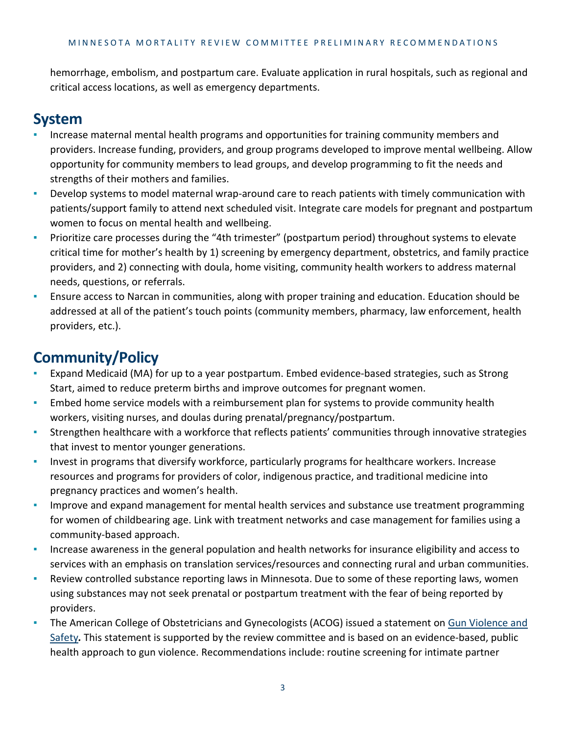hemorrhage, embolism, and postpartum care. Evaluate application in rural hospitals, such as regional and critical access locations, as well as emergency departments.

### **System**

- providers. Increase funding, providers, and group programs developed to improve mental wellbeing. Allow opportunity for community members to lead groups, and develop programming to fit the needs and Increase maternal mental health programs and opportunities for training community members and strengths of their mothers and families.
- women to focus on mental health and wellbeing. ▪ Develop systems to model maternal wrap-around care to reach patients with timely communication with patients/support family to attend next scheduled visit. Integrate care models for pregnant and postpartum
- ▪ Prioritize care processes during the "4th trimester" (postpartum period) throughout systems to elevate critical time for mother's health by 1) screening by emergency department, obstetrics, and family practice providers, and 2) connecting with doula, home visiting, community health workers to address maternal needs, questions, or referrals.
- **E** Ensure access to Narcan in communities, along with proper training and education. Education should be addressed at all of the patient's touch points (community members, pharmacy, law enforcement, health providers, etc.).

# **Community/Policy**

- Expand Medicaid (MA) for up to a year postpartum. Embed evidence-based strategies, such as Strong Start, aimed to reduce preterm births and improve outcomes for pregnant women.
- **Embed home service models with a reimbursement plan for systems to provide community health** workers, visiting nurses, and doulas during prenatal/pregnancy/postpartum.
- ▪ Strengthen healthcare with a workforce that reflects patients' communities through innovative strategies that invest to mentor younger generations.
- **·** Invest in programs that diversify workforce, particularly programs for healthcare workers. Increase resources and programs for providers of color, indigenous practice, and traditional medicine into pregnancy practices and women's health.
- **Improve and expand management for mental health services and substance use treatment programming** for women of childbearing age. Link with treatment networks and case management for families using a community-based approach.
- Increase awareness in the general population and health networks for insurance eligibility and access to services with an emphasis on translation services/resources and connecting rural and urban communities.
- using substances may not seek prenatal or postpartum treatment with the fear of being reported by Review controlled substance reporting laws in Minnesota. Due to some of these reporting laws, women providers.
- [Safety](https://www.acog.org/-/media/Statements-of-Policy/Public/90GunViolenceSafety2019.pdf?dmc=1&ts=20200124T2026479437)*.* This statement is supported by the review committee and is based on an evidence-based, public **·** The American College of Obstetricians and Gynecologists (ACOG) issued a statement on Gun Violence and health approach to gun violence. Recommendations include: routine screening for intimate partner